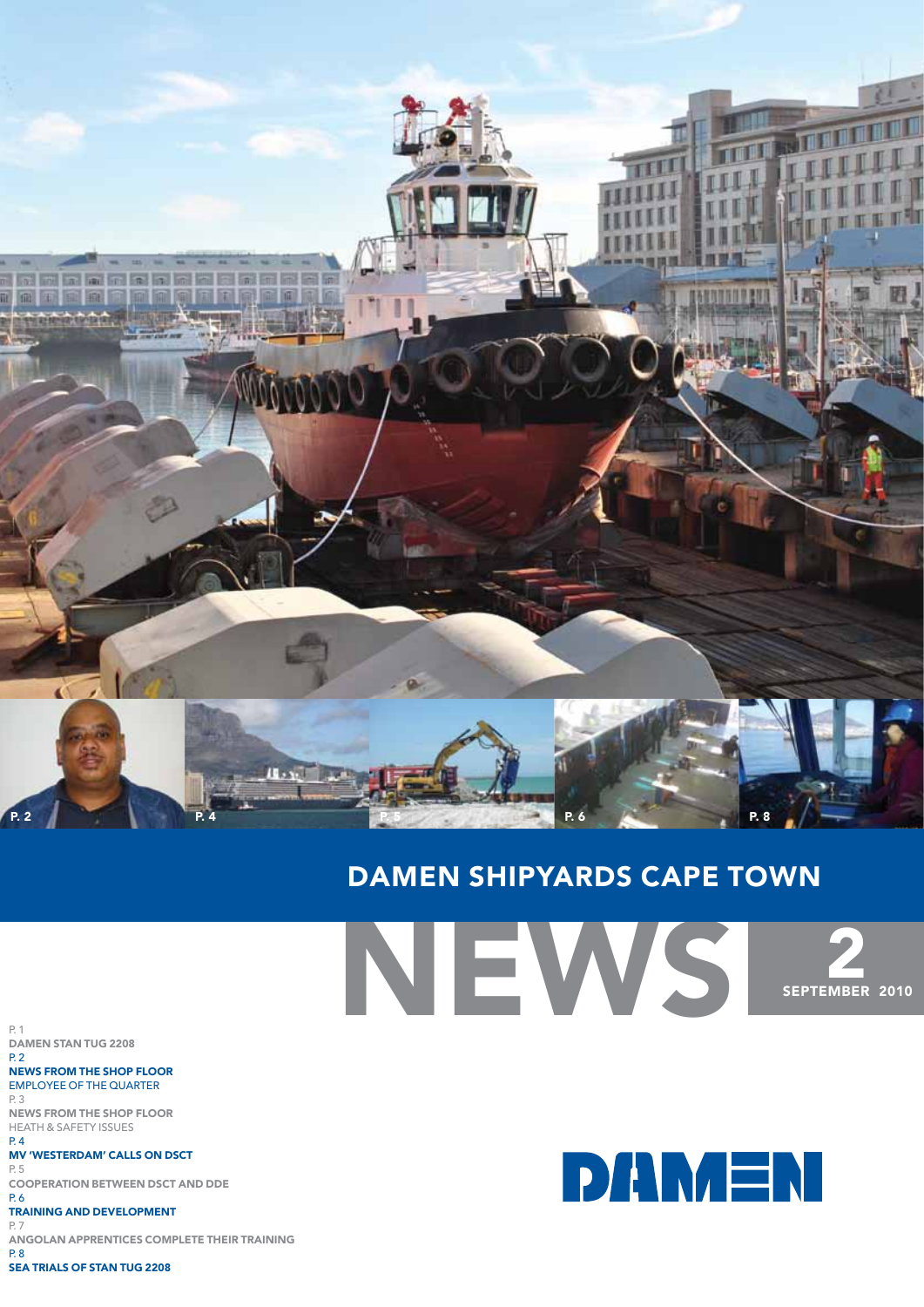

## Damen shipyards cape town

News **2**<br>SEPTEMBER 2010

**DAMEN** 

p. 1 Damen stan TUG 2208 p. 2

news from the shop floor employee of the quarter p. 3 news from the shop floor Heath & safety issues

p. 4 MV 'westerdam' calls on dsct p. 5

cooperation between dsct and dde p. 6

Training and development

p. 7 angolan apprentices complete their training  $P.8$ 

sea trials of stan TUG 2208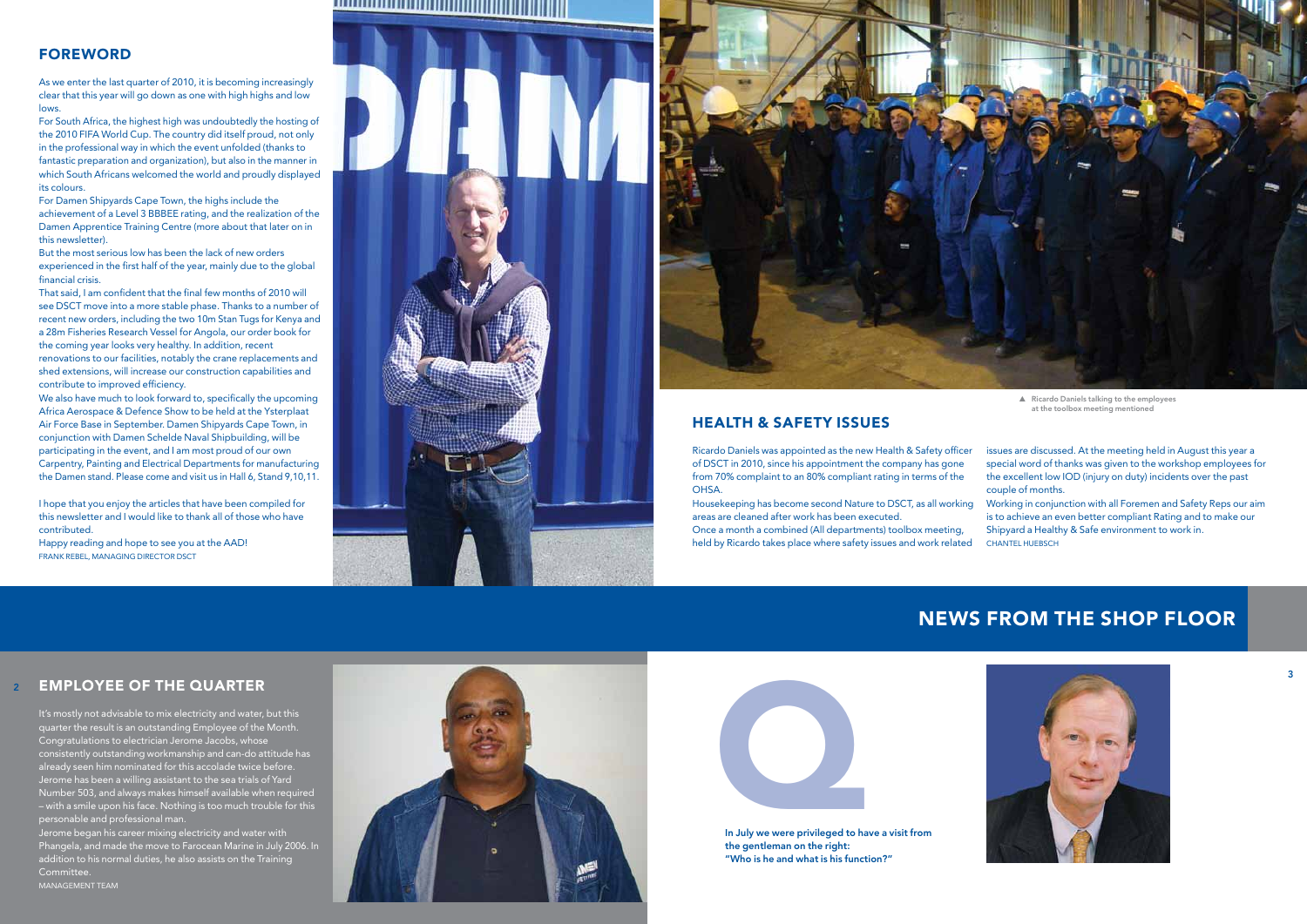#### **FOREWORD** de la construcción de la construcción de la construcción de la construcción de la construcción de la construcc

As we enter the last quarter of 2010, it is becoming increasingly clear that this year will go down as one with high highs and low lows.

For South Africa, the highest high was undoubtedly the hosting of the 2010 FIFA World Cup. The country did itself proud, not only in the professional way in which the event unfolded (thanks to fantastic preparation and organization), but also in the manner in which South Africans welcomed the world and proudly displayed its colours.

For Damen Shipyards Cape Town, the highs include the achievement of a Level 3 BBBEE rating, and the realization of the Damen Apprentice Training Centre (more about that later on in this newsletter).

But the most serious low has been the lack of new orders experienced in the first half of the year, mainly due to the global financial crisis.

We also have much to look forward to, specifically the upcoming Africa Aerospace & Defence Show to be held at the Ysterplaat Air Force Base in September. Damen Shipyards Cape Town, in conjunction with Damen Schelde Naval Shipbuilding, will be participating in the event, and I am most proud of our own Carpentry, Painting and Electrical Departments for manufacturing the Damen stand. Please come and visit us in Hall 6, Stand 9,10,11.

Happy reading and hope to see you at the AAD! FRANK REBEL, MANAGING DIRECTOR D





That said, I am confident that the final few months of 2010 will see DSCT move into a more stable phase. Thanks to a number of recent new orders, including the two 10m Stan Tugs for Kenya and a 28m Fisheries Research Vessel for Angola, our order book for the coming year looks very healthy. In addition, recent renovations to our facilities, notably the crane replacements and shed extensions, will increase our construction capabilities and contribute to improved efficiency.

> issues are discussed. At the meeting held in August this year a special word of thanks was given to the workshop employees for the excellent low I OD (injury on duty) incidents over the past couple of months. ▲ Ricardo Daniels talking to the employees<br>at the toolbox meeting mentioned<br>issues are discussed. At the meeting held in<br>special word of thanks was given to the work<br>the excellent low IOD (injury on duty) incider<br>couple o

I hope that you enjoy the articles that have been compiled for this newsletter and I would like to thank all of those who have contributed.



In July we were privileged to have a visit from the gentleman on the right: "Who is he and what is his function?"

3

#### 2 employee of the quarter

It's mostly not advisable to mix electricity and water, but this quarter the result is an outstanding Employee of the Month. Congratulations to electrician Jerome Jacobs, whose consistently outstanding workmanship and can-do attitude has already seen him nominated for this accolade twice before. Jerome has been a willing assistant to the sea trials of Yard Number 503, and always makes himself available when required – with a smile upon his face. Nothing is too much trouble for this personable and professional man.

Jerome began his career mixing electricity and water with Phangela, and made the move to Farocean Marine in July 2006. In addition to his normal duties, he also assists on the Training Committee.

management tea m



## news from the shop floor



#### Health & Safety Iss ues

Ricardo Daniels was appointed as the new Health & Safety officer of DSCT in 2010, since his appointment the company has gone from 70% complaint to an 80% compliant rating in terms of the OHSA.

areas are cleaned after work has been executed.

Housekeeping has become second Nature to DSCT, as all working Once a month a combined (All departments) toolbox meeting, held by Ricardo takes place where safety issues and work related Working in conjunction with all Foremen and Safety Reps our aim is to achieve an even better compliant Rating and to make our Shipyard a Healthy & Safe environment to work in.

at the toolbox meeting mentioned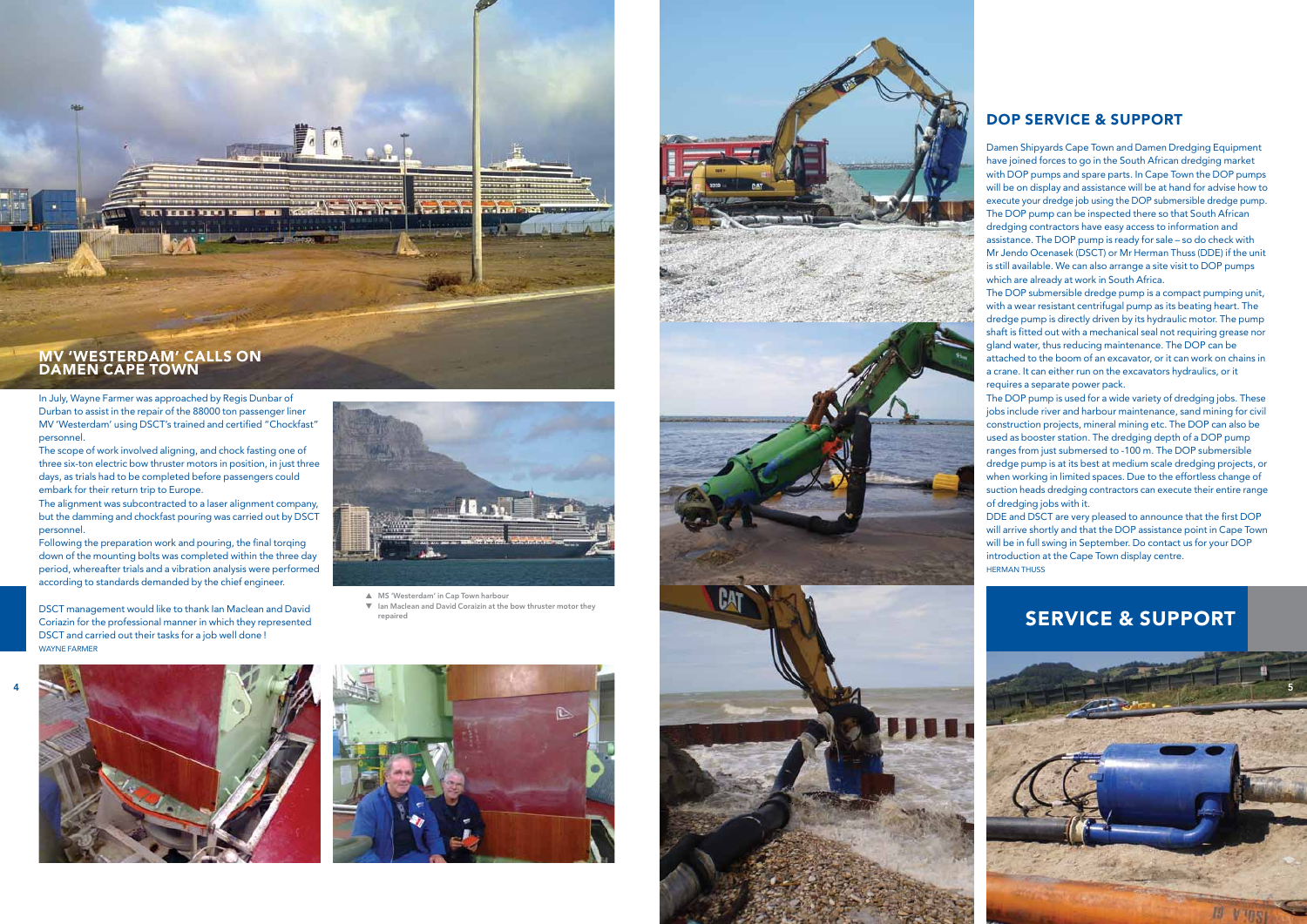## ser vice & s upport

Damen Shipyards Cape Town and Damen Dredging Equipment have joined forces to go in the South African dredging market with D OP pumps and spare parts. In Cape Town the D OP pumps will be on display and assistance will be at hand for advise how to execute your dredge job using the D OP submersible dredge pump. The D OP pump can be inspected there so that South African dredging contractors have easy access to information and assistance. The D OP pump is ready for sale – so do check with Mr Jendo Ocenasek (DSCT) or Mr Herman Thuss (DDE) if the unit is still available. We can also arrange a site visit to D OP pumps which are already at work in South Africa.

The D OP submersible dredge pump is a compact pumping unit, with a wear resistant centrifugal pump as its beating heart. The dredge pump is directly driven by its hydraulic motor. The pump shaft is fitted out with a mechanical seal not requiring grease nor gland water, thus reducing maintenance. The D OP can be attached to the boom of an excavator, or it can work on chains in a crane. It can either run on the excavators hydraulics, or it requires a separate power pack.

Following the preparation work and pouring, the final torging down of the mounting bolts was completed within the three day period, whereafter trials and a vibration analysis were performed according to standards demanded by the chief engineer.

The D OP pump is used for a wide variety of dredging jobs. These jobs include river and harbour maintenance, sand mining for civil construction projects, mineral mining etc. The D OP can also be used as booster station. The dredging depth of a D OP pump ranges from just submersed to -100 m. The D OP submersible dredge pump is at its best at medium scale dredging projects, or when working in limited spaces. Due to the effortless change of suction heads dredging contractors can execute their entire range of dredging jobs with it.

- ▲ MS 'Westerdam' in Cap Town harbour
- ▼ Ian Maclean and David Coraizin at the bow thruster motor they repaired







#### DOP SERVICE & SUPI

DDE and DSCT are very pleased to announce that the first D OP will arrive shortly and that the D OP assistance point in Cape Town will be in full swing in September. Do contact us for your D OP introduction at the Cape Town display centre. Herman Thuss



# DAMEN CAPE TOW N

In July, Wayne Farmer was approached by Regis Dunbar of Durban to assist in the repair of the 88000 ton passenger liner MV 'Westerdam' using DSCT's trained and certified "Chockfast" personnel.

The scope of work involved aligning, and chock fasting one of three six-ton electric bow thruster motors in position, in just three days, as trials had to be completed before passengers could embark for their return trip to Europe.

The alignment was subcontracted to a laser alignment company, but the damming and chockfast pouring was carried out by DSCT personnel.

DSCT management would like to thank Ian Maclean and David Coriazin for the professional manner in which they represented DSCT and carried out their tasks for a job well done ! Wayne Farmer

4



5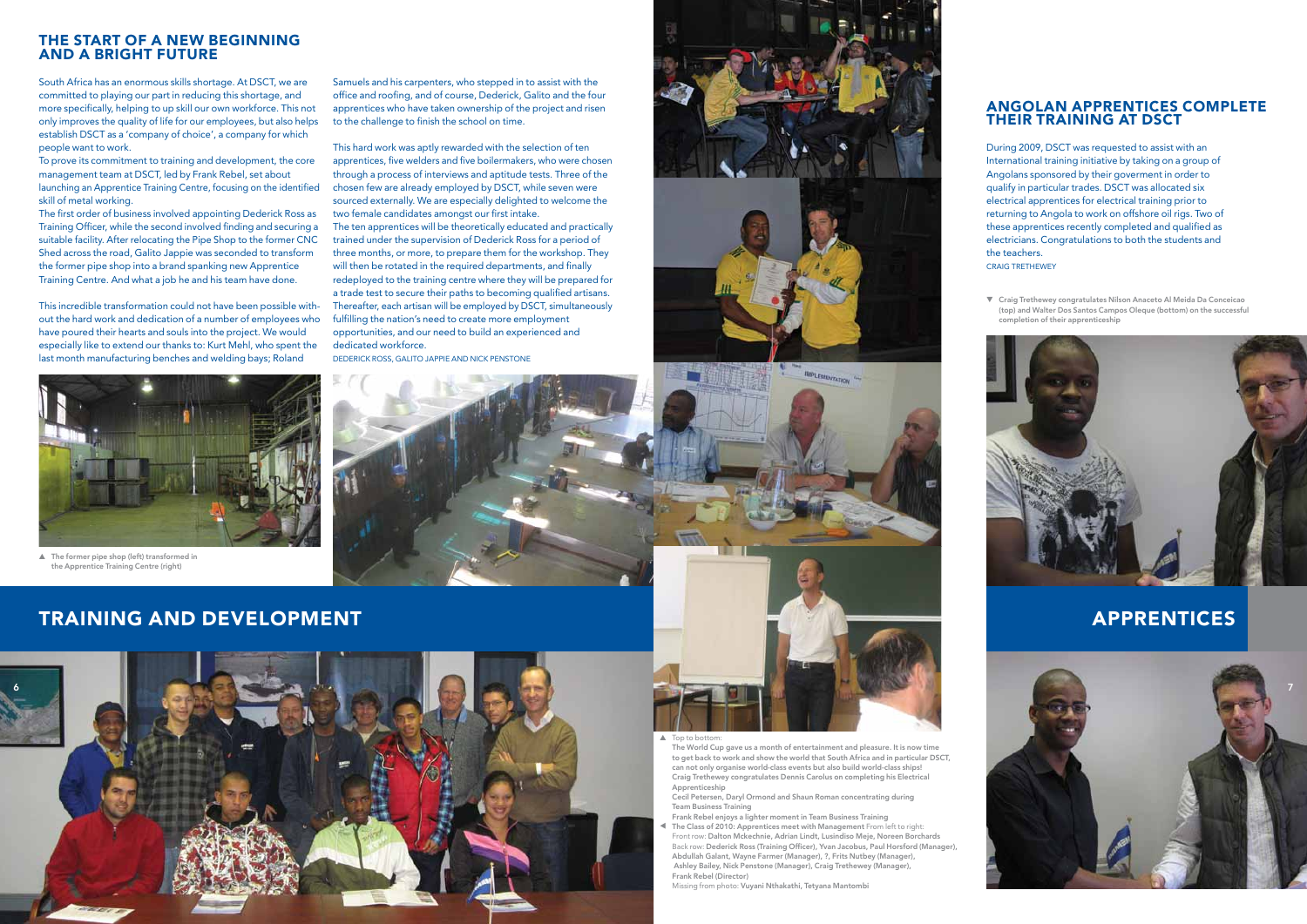## training and development



▲ Top to bottom:

#### the start of a new beginning and a bright future

South Africa has an enormous skills shortage. At DSCT, we are committed to playing our part in reducing this shortage, and more specifically, helping to up skill our own workforce. This not only improves the quality of life for our employees, but also helps establish DSCT as a 'company of choice', a company for which people want to work.

To prove its commitment to training and development, the core management team at DSCT, led by Frank Rebel, set about launching an Apprentice Training Centre, focusing on the identified skill of metal working.

The first order of business involved appointing Dederick Ross as Training Officer, while the second involved finding and securing a suitable facility. After relocating the Pipe Shop to the former CNC Shed across the road, Galito Jappie was seconded to transform the former pipe shop into a brand spanking new Apprentice Training Centre. And what a job he and his team have done.

This incredible transformation could not have been possible without the hard work and dedication of a number of employees who have poured their hearts and souls into the project. We would especially like to extend our thanks to: Kurt Mehl, who spent the last month manufacturing benches and welding bays; Roland



Samuels and his carpenters, who stepped in to assist with the office and roofing, and of course, Dederick, Galito and the four apprentices who have taken ownership of the project and risen to the challenge to finish the school on time.

#### Angolan Apprentices complete THEIR TRAINING AT DS

This hard work was aptly rewarded with the selection of ten apprentices, five welders and five boilermakers, who were chosen through a process of interviews and aptitude tests. Three of the chosen few are already employed by DSCT, while seven were sourced externally. We are especially delighted to welcome the two female candidates amongst our first intake. The ten apprentices will be theoretically educated and practically trained under the supervision of Dederick Ross for a period of three months, or more, to prepare them for the workshop. They will then be rotated in the required departments, and finally redeployed to the training centre where they will be prepared for a trade test to secure their paths to becoming qualified artisans. Thereafter, each artisan will be employed by DSCT, simultaneously fulfilling the nation's need to create more employment opportunities, and our need to build an experienced and dedicated workforce.

Dederick Ross, Galito Jappie and Nick Penstone







 The World Cup gave us a month of entertainment and pleasure. It is now time to get back to work and show the world that South Africa and in particular DSCT, can not only organise world-class events but also build world-class ships! Craig Trethewey congratulates Dennis Carolus on completing his Electrical Apprenticeship

 Cecil Petersen, Daryl Ormond and Shaun Roman concentrating during Team Business Training

- Frank Rebel enjoys a lighter moment in Team Business Training
- The Class of 2010: Apprentices meet with Management From left to right: Front row: Dalton Mckechnie, Adrian Lindt, Lusindiso Meje, Noreen Borchards Back row: Dederick Ross (Training Officer), Yvan Jacobus, Paul Horsford (Manager), Abdullah Galant, Wayne Farmer (Manager), ?, Frits Nutbey (Manager), Ashley Bailey, Nick Penstone (Manager), Craig Trethewey (Manager), Frank Rebel (Director) ▲

Missing from photo: Vuyani Nthakathi, Tetyana Mantombi



During 2009, DSCT was requested to assist with an International training initiative by taking on a group of Angolans sponsored by their goverment in order to qualify in particular trades. DSCT was allocated six electrical apprentices for electrical training prior to returning to Angola to work on offshore oil rigs. Two of these apprentices recently completed and qualified as electricians. Congratulations to both the students and the teachers.

Craig Trethewey

▼ Craig Trethewey congratulates Nilson Anaceto Al Meida Da Conceicao (top) and Walter Dos Santos Campos Oleque (bottom) on the successful completion of their apprenticeship



## **APPRENTICES**

▲ The former pipe shop (left) transformed in the Apprentice Training Centre (right)